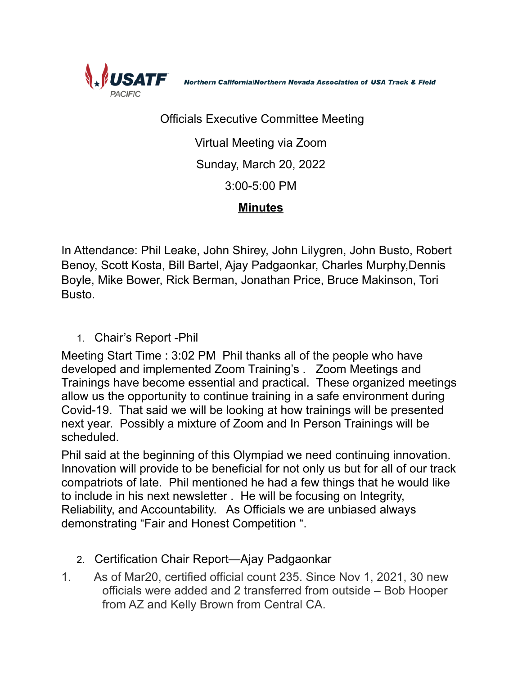

Northern California|Northern Nevada Association of USA Track & Field

## Officials Executive Committee Meeting

Virtual Meeting via Zoom Sunday, March 20, 2022 3:00-5:00 PM

## **Minutes**

In Attendance: Phil Leake, John Shirey, John Lilygren, John Busto, Robert Benoy, Scott Kosta, Bill Bartel, Ajay Padgaonkar, Charles Murphy,Dennis Boyle, Mike Bower, Rick Berman, Jonathan Price, Bruce Makinson, Tori Busto.

1. Chair's Report -Phil

Meeting Start Time : 3:02 PM Phil thanks all of the people who have developed and implemented Zoom Training's . Zoom Meetings and Trainings have become essential and practical. These organized meetings allow us the opportunity to continue training in a safe environment during Covid-19. That said we will be looking at how trainings will be presented next year. Possibly a mixture of Zoom and In Person Trainings will be scheduled.

Phil said at the beginning of this Olympiad we need continuing innovation. Innovation will provide to be beneficial for not only us but for all of our track compatriots of late. Phil mentioned he had a few things that he would like to include in his next newsletter . He will be focusing on Integrity, Reliability, and Accountability. As Officials we are unbiased always demonstrating "Fair and Honest Competition ".

- 2. Certification Chair Report—Ajay Padgaonkar
- 1. As of Mar20, certified official count 235. Since Nov 1, 2021, 30 new officials were added and 2 transferred from outside – Bob Hooper from AZ and Kelly Brown from Central CA.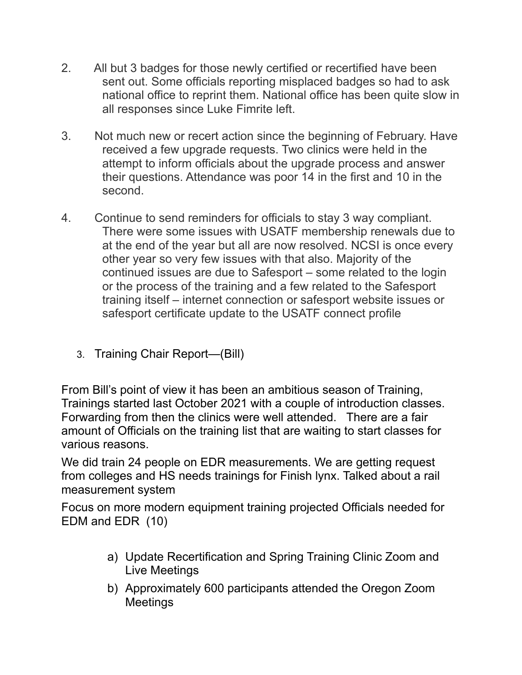- 2. All but 3 badges for those newly certified or recertified have been sent out. Some officials reporting misplaced badges so had to ask national office to reprint them. National office has been quite slow in all responses since Luke Fimrite left.
- 3. Not much new or recert action since the beginning of February. Have received a few upgrade requests. Two clinics were held in the attempt to inform officials about the upgrade process and answer their questions. Attendance was poor 14 in the first and 10 in the second.
- 4. Continue to send reminders for officials to stay 3 way compliant. There were some issues with USATF membership renewals due to at the end of the year but all are now resolved. NCSI is once every other year so very few issues with that also. Majority of the continued issues are due to Safesport – some related to the login or the process of the training and a few related to the Safesport training itself – internet connection or safesport website issues or safesport certificate update to the USATF connect profile
	- 3. Training Chair Report—(Bill)

From Bill's point of view it has been an ambitious season of Training, Trainings started last October 2021 with a couple of introduction classes. Forwarding from then the clinics were well attended. There are a fair amount of Officials on the training list that are waiting to start classes for various reasons.

We did train 24 people on EDR measurements. We are getting request from colleges and HS needs trainings for Finish lynx. Talked about a rail measurement system

Focus on more modern equipment training projected Officials needed for EDM and EDR (10)

- a) Update Recertification and Spring Training Clinic Zoom and Live Meetings
- b) Approximately 600 participants attended the Oregon Zoom **Meetings**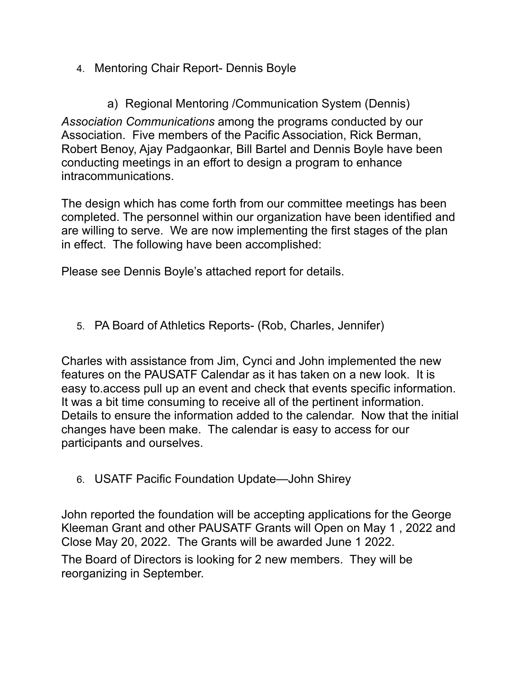- 4. Mentoring Chair Report- Dennis Boyle
	- a) Regional Mentoring /Communication System (Dennis)

*Association Communications* among the programs conducted by our Association. Five members of the Pacific Association, Rick Berman, Robert Benoy, Ajay Padgaonkar, Bill Bartel and Dennis Boyle have been conducting meetings in an effort to design a program to enhance intracommunications.

The design which has come forth from our committee meetings has been completed. The personnel within our organization have been identified and are willing to serve. We are now implementing the first stages of the plan in effect. The following have been accomplished:

Please see Dennis Boyle's attached report for details.

5. PA Board of Athletics Reports- (Rob, Charles, Jennifer)

Charles with assistance from Jim, Cynci and John implemented the new features on the PAUSATF Calendar as it has taken on a new look. It is easy to.access pull up an event and check that events specific information. It was a bit time consuming to receive all of the pertinent information. Details to ensure the information added to the calendar. Now that the initial changes have been make. The calendar is easy to access for our participants and ourselves.

6. USATF Pacific Foundation Update—John Shirey

John reported the foundation will be accepting applications for the George Kleeman Grant and other PAUSATF Grants will Open on May 1 , 2022 and Close May 20, 2022. The Grants will be awarded June 1 2022.

The Board of Directors is looking for 2 new members. They will be reorganizing in September.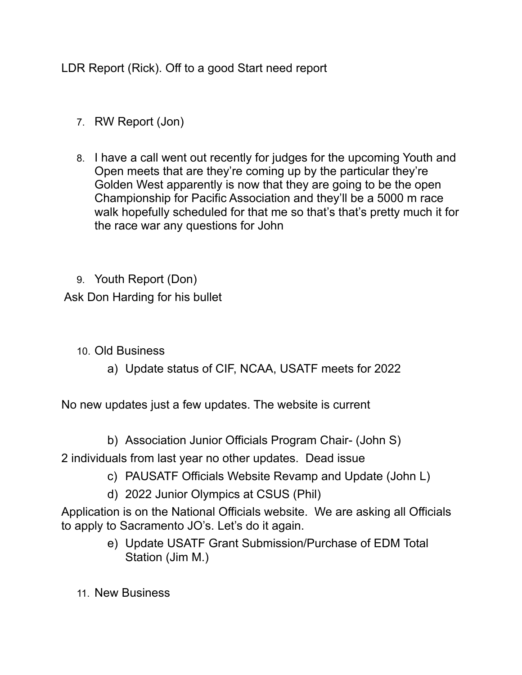LDR Report (Rick). Off to a good Start need report

- 7. RW Report (Jon)
- 8. I have a call went out recently for judges for the upcoming Youth and Open meets that are they're coming up by the particular they're Golden West apparently is now that they are going to be the open Championship for Pacific Association and they'll be a 5000 m race walk hopefully scheduled for that me so that's that's pretty much it for the race war any questions for John

9. Youth Report (Don) Ask Don Harding for his bullet

- 10. Old Business
	- a) Update status of CIF, NCAA, USATF meets for 2022

No new updates just a few updates. The website is current

b) Association Junior Officials Program Chair- (John S)

2 individuals from last year no other updates. Dead issue

- c) PAUSATF Officials Website Revamp and Update (John L)
- d) 2022 Junior Olympics at CSUS (Phil)

Application is on the National Officials website. We are asking all Officials to apply to Sacramento JO's. Let's do it again.

- e) Update USATF Grant Submission/Purchase of EDM Total Station (Jim M.)
- 11. New Business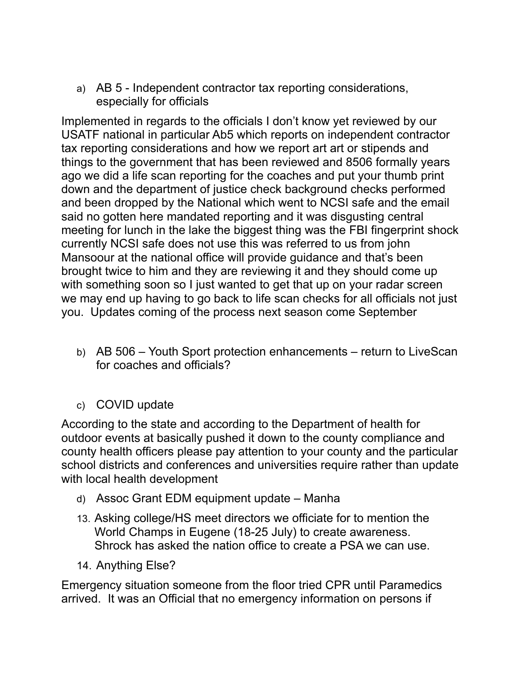a) AB 5 - Independent contractor tax reporting considerations, especially for officials

Implemented in regards to the officials I don't know yet reviewed by our USATF national in particular Ab5 which reports on independent contractor tax reporting considerations and how we report art art or stipends and things to the government that has been reviewed and 8506 formally years ago we did a life scan reporting for the coaches and put your thumb print down and the department of justice check background checks performed and been dropped by the National which went to NCSI safe and the email said no gotten here mandated reporting and it was disgusting central meeting for lunch in the lake the biggest thing was the FBI fingerprint shock currently NCSI safe does not use this was referred to us from john Mansoour at the national office will provide guidance and that's been brought twice to him and they are reviewing it and they should come up with something soon so I just wanted to get that up on your radar screen we may end up having to go back to life scan checks for all officials not just you. Updates coming of the process next season come September

- b) AB 506 Youth Sport protection enhancements return to LiveScan for coaches and officials?
- c) COVID update

According to the state and according to the Department of health for outdoor events at basically pushed it down to the county compliance and county health officers please pay attention to your county and the particular school districts and conferences and universities require rather than update with local health development

- d) Assoc Grant EDM equipment update Manha
- 13. Asking college/HS meet directors we officiate for to mention the World Champs in Eugene (18-25 July) to create awareness. Shrock has asked the nation office to create a PSA we can use.
- 14. Anything Else?

Emergency situation someone from the floor tried CPR until Paramedics arrived. It was an Official that no emergency information on persons if